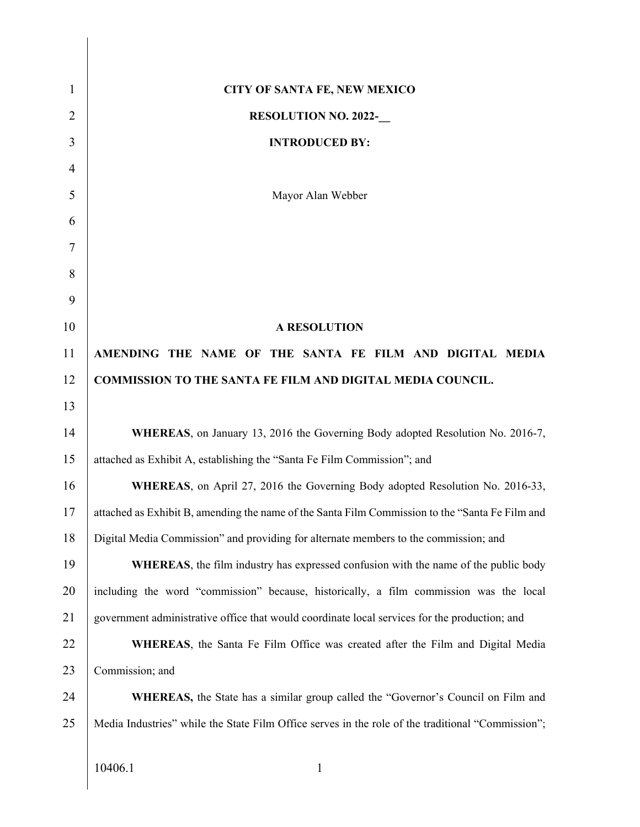| $\mathbf{1}$   | <b>CITY OF SANTA FE, NEW MEXICO</b>                                                               |
|----------------|---------------------------------------------------------------------------------------------------|
| $\overline{2}$ | <b>RESOLUTION NO. 2022-</b>                                                                       |
| 3              | <b>INTRODUCED BY:</b>                                                                             |
| 4              |                                                                                                   |
| 5              | Mayor Alan Webber                                                                                 |
| 6              |                                                                                                   |
| 7              |                                                                                                   |
| 8              |                                                                                                   |
| 9              |                                                                                                   |
| 10             | <b>A RESOLUTION</b>                                                                               |
| 11             | AMENDING THE NAME OF THE SANTA FE FILM AND DIGITAL MEDIA                                          |
| 12             | <b>COMMISSION TO THE SANTA FE FILM AND DIGITAL MEDIA COUNCIL.</b>                                 |
| 13             |                                                                                                   |
| 14             | WHEREAS, on January 13, 2016 the Governing Body adopted Resolution No. 2016-7,                    |
| 15             | attached as Exhibit A, establishing the "Santa Fe Film Commission"; and                           |
| 16             | WHEREAS, on April 27, 2016 the Governing Body adopted Resolution No. 2016-33,                     |
| 17             | attached as Exhibit B, amending the name of the Santa Film Commission to the "Santa Fe Film and   |
| 18             | Digital Media Commission" and providing for alternate members to the commission; and              |
| 19             | WHEREAS, the film industry has expressed confusion with the name of the public body               |
| 20             | including the word "commission" because, historically, a film commission was the local            |
| 21             | government administrative office that would coordinate local services for the production; and     |
| 22             | <b>WHEREAS</b> , the Santa Fe Film Office was created after the Film and Digital Media            |
| 23             | Commission; and                                                                                   |
| 24             | <b>WHEREAS</b> , the State has a similar group called the "Governor's Council on Film and         |
| 25             | Media Industries" while the State Film Office serves in the role of the traditional "Commission"; |
|                | 10406.1<br>$\mathbf{1}$                                                                           |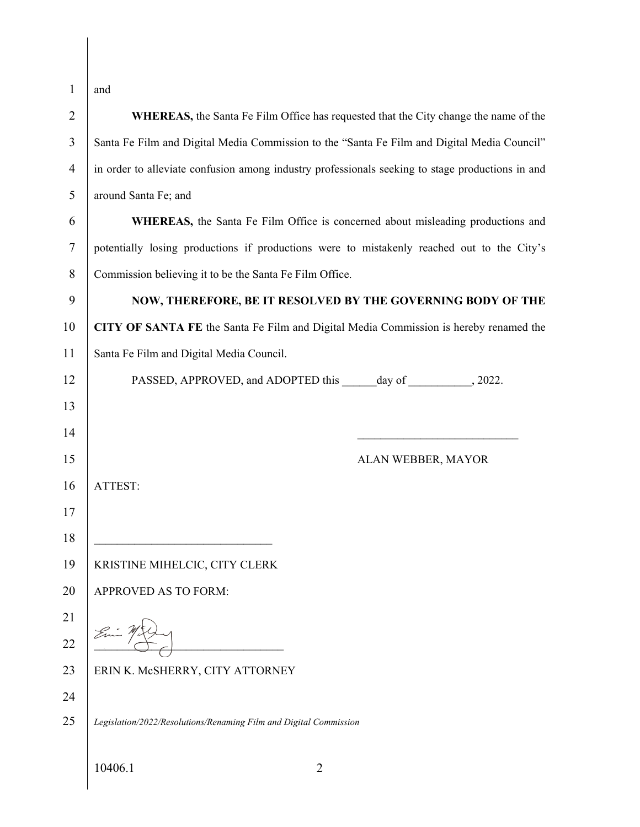| $\mathbf{1}$   | and                                                                                              |
|----------------|--------------------------------------------------------------------------------------------------|
| $\overline{2}$ | WHEREAS, the Santa Fe Film Office has requested that the City change the name of the             |
| 3              | Santa Fe Film and Digital Media Commission to the "Santa Fe Film and Digital Media Council"      |
| $\overline{4}$ | in order to alleviate confusion among industry professionals seeking to stage productions in and |
| 5              | around Santa Fe; and                                                                             |
| 6              | <b>WHEREAS</b> , the Santa Fe Film Office is concerned about misleading productions and          |
| $\tau$         | potentially losing productions if productions were to mistakenly reached out to the City's       |
| 8              | Commission believing it to be the Santa Fe Film Office.                                          |
| 9              | NOW, THEREFORE, BE IT RESOLVED BY THE GOVERNING BODY OF THE                                      |
| 10             | CITY OF SANTA FE the Santa Fe Film and Digital Media Commission is hereby renamed the            |
| 11             | Santa Fe Film and Digital Media Council.                                                         |
| 12             |                                                                                                  |
| 13             |                                                                                                  |
| 14             |                                                                                                  |
| 15             | ALAN WEBBER, MAYOR                                                                               |
| 16             | ATTEST:                                                                                          |
| 17             |                                                                                                  |
| 18             |                                                                                                  |
| 19             | KRISTINE MIHELCIC, CITY CLERK                                                                    |
| 20             | APPROVED AS TO FORM:                                                                             |
| 21             |                                                                                                  |
| 22             |                                                                                                  |
| 23             | ERIN K. McSHERRY, CITY ATTORNEY                                                                  |
| 24             |                                                                                                  |
| 25             | Legislation/2022/Resolutions/Renaming Film and Digital Commission                                |
|                | 10406.1<br>2                                                                                     |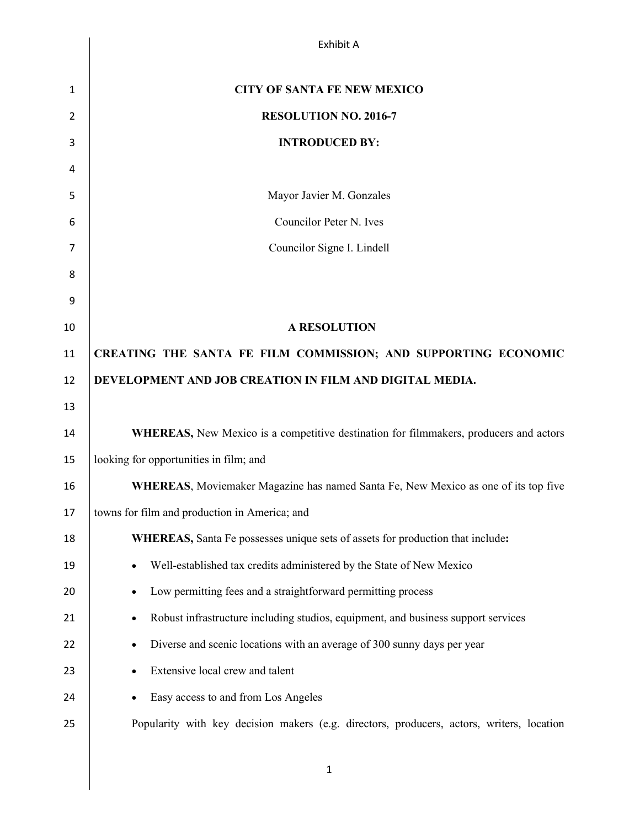|    | Exhibit A                                                                                 |
|----|-------------------------------------------------------------------------------------------|
| 1  | <b>CITY OF SANTA FE NEW MEXICO</b>                                                        |
| 2  | <b>RESOLUTION NO. 2016-7</b>                                                              |
| 3  | <b>INTRODUCED BY:</b>                                                                     |
| 4  |                                                                                           |
| 5  | Mayor Javier M. Gonzales                                                                  |
| 6  | Councilor Peter N. Ives                                                                   |
| 7  | Councilor Signe I. Lindell                                                                |
| 8  |                                                                                           |
| 9  |                                                                                           |
| 10 | <b>A RESOLUTION</b>                                                                       |
| 11 | CREATING THE SANTA FE FILM COMMISSION; AND SUPPORTING ECONOMIC                            |
| 12 | DEVELOPMENT AND JOB CREATION IN FILM AND DIGITAL MEDIA.                                   |
| 13 |                                                                                           |
| 14 | WHEREAS, New Mexico is a competitive destination for filmmakers, producers and actors     |
| 15 | looking for opportunities in film; and                                                    |
| 16 | WHEREAS, Moviemaker Magazine has named Santa Fe, New Mexico as one of its top five        |
| 17 | towns for film and production in America; and                                             |
| 18 | WHEREAS, Santa Fe possesses unique sets of assets for production that include:            |
| 19 | Well-established tax credits administered by the State of New Mexico                      |
| 20 | Low permitting fees and a straightforward permitting process                              |
| 21 | Robust infrastructure including studios, equipment, and business support services<br>٠    |
| 22 | Diverse and scenic locations with an average of 300 sunny days per year                   |
| 23 | Extensive local crew and talent<br>٠                                                      |
| 24 | Easy access to and from Los Angeles                                                       |
| 25 | Popularity with key decision makers (e.g. directors, producers, actors, writers, location |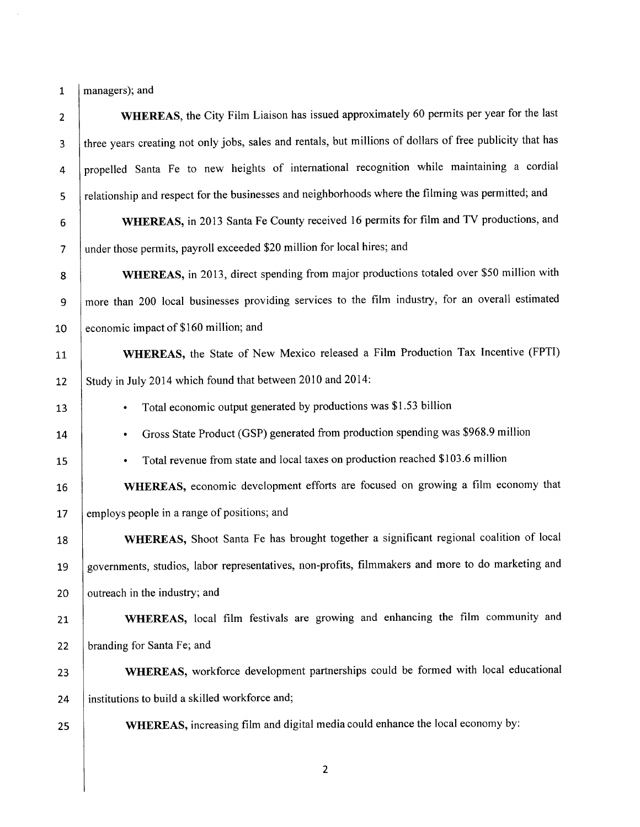$1$  | managers); and

 $\sim$ 

| $\overline{2}$ | WHEREAS, the City Film Liaison has issued approximately 60 permits per year for the last                  |
|----------------|-----------------------------------------------------------------------------------------------------------|
| 3              | three years creating not only jobs, sales and rentals, but millions of dollars of free publicity that has |
| 4              | propelled Santa Fe to new heights of international recognition while maintaining a cordial                |
| 5              | relationship and respect for the businesses and neighborhoods where the filming was permitted; and        |
| 6              | WHEREAS, in 2013 Santa Fe County received 16 permits for film and TV productions, and                     |
| $\overline{7}$ | under those permits, payroll exceeded \$20 million for local hires; and                                   |
| 8              | WHEREAS, in 2013, direct spending from major productions totaled over \$50 million with                   |
| 9              | more than 200 local businesses providing services to the film industry, for an overall estimated          |
| 10             | economic impact of \$160 million; and                                                                     |
| 11             | WHEREAS, the State of New Mexico released a Film Production Tax Incentive (FPTI)                          |
| 12             | Study in July 2014 which found that between 2010 and 2014:                                                |
| 13             | Total economic output generated by productions was \$1.53 billion<br>٠                                    |
| 14             | Gross State Product (GSP) generated from production spending was \$968.9 million<br>٠                     |
| 15             | Total revenue from state and local taxes on production reached \$103.6 million<br>٠                       |
| 16             | WHEREAS, economic development efforts are focused on growing a film economy that                          |
| 17             | employs people in a range of positions; and                                                               |
| 18             | WHEREAS, Shoot Santa Fe has brought together a significant regional coalition of local                    |
| 19             | governments, studios, labor representatives, non-profits, filmmakers and more to do marketing and         |
| 20             | outreach in the industry; and                                                                             |
| 21             | WHEREAS, local film festivals are growing and enhancing the film community and                            |
| 22             | branding for Santa Fe; and                                                                                |
| 23             | WHEREAS, workforce development partnerships could be formed with local educational                        |
| 24             | institutions to build a skilled workforce and;                                                            |
| 25             | WHEREAS, increasing film and digital media could enhance the local economy by:                            |
|                |                                                                                                           |

 $\overline{c}$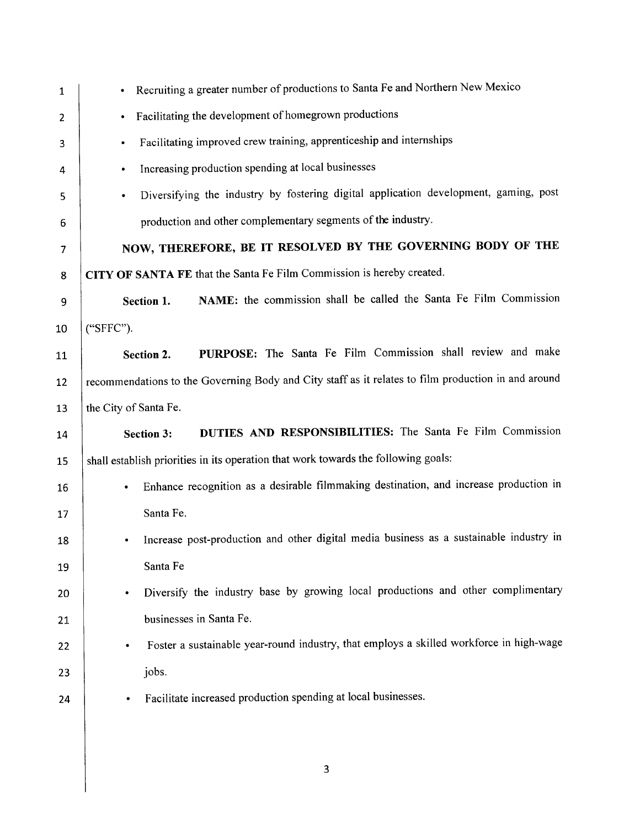| 1                        | Recruiting a greater number of productions to Santa Fe and Northern New Mexico                       |
|--------------------------|------------------------------------------------------------------------------------------------------|
| $\overline{2}$           | Facilitating the development of homegrown productions<br>$\bullet$                                   |
| 3                        | Facilitating improved crew training, apprenticeship and internships<br>$\bullet$                     |
| 4                        | Increasing production spending at local businesses<br>$\bullet$                                      |
| 5                        | Diversifying the industry by fostering digital application development, gaming, post<br>٠            |
| 6                        | production and other complementary segments of the industry.                                         |
| $\overline{\phantom{a}}$ | NOW, THEREFORE, BE IT RESOLVED BY THE GOVERNING BODY OF THE                                          |
| 8                        | CITY OF SANTA FE that the Santa Fe Film Commission is hereby created.                                |
| 9                        | NAME: the commission shall be called the Santa Fe Film Commission<br>Section 1.                      |
| 10                       | ("SFFC").                                                                                            |
| 11                       | PURPOSE: The Santa Fe Film Commission shall review and make<br>Section 2.                            |
| 12                       | recommendations to the Governing Body and City staff as it relates to film production in and around  |
| 13                       | the City of Santa Fe.                                                                                |
| 14                       | DUTIES AND RESPONSIBILITIES: The Santa Fe Film Commission<br><b>Section 3:</b>                       |
| 15                       | shall establish priorities in its operation that work towards the following goals:                   |
| 16                       | Enhance recognition as a desirable filmmaking destination, and increase production in<br>$\bullet$   |
| 17                       | Santa Fe.                                                                                            |
| 18                       | Increase post-production and other digital media business as a sustainable industry in<br>$\bullet$  |
| 19                       | Santa Fe                                                                                             |
| 20                       | Diversify the industry base by growing local productions and other complimentary<br>٠                |
| 21                       | businesses in Santa Fe.                                                                              |
| 22                       | Foster a sustainable year-round industry, that employs a skilled workforce in high-wage<br>$\bullet$ |
| 23                       | jobs.                                                                                                |
| 24                       | Facilitate increased production spending at local businesses.                                        |
|                          |                                                                                                      |
|                          |                                                                                                      |

 $\overline{\mathbf{3}}$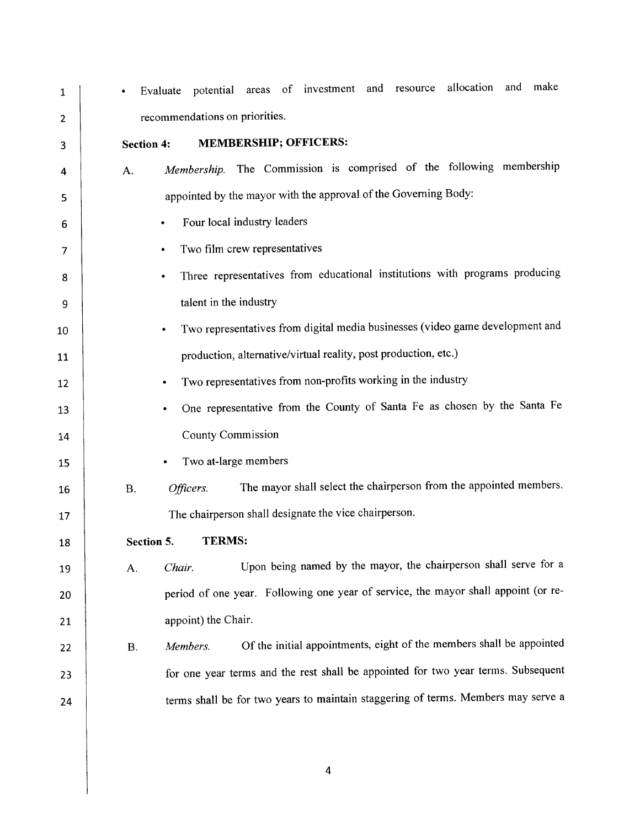potential areas of investment and resource allocation and make Evaluate  $\mathbf{1}$ recommendations on priorities.  $\overline{2}$ **MEMBERSHIP; OFFICERS: Section 4:** 3 Membership. The Commission is comprised of the following membership  $A$ .  $\overline{4}$ appointed by the mayor with the approval of the Governing Body: 5 Four local industry leaders 6 Two film crew representatives 7 Three representatives from educational institutions with programs producing 8 talent in the industry 9 Two representatives from digital media businesses (video game development and 10 production, alternative/virtual reality, post production, etc.) 11 Two representatives from non-profits working in the industry 12 ٠ One representative from the County of Santa Fe as chosen by the Santa Fe 13 **County Commission** 14 Two at-large members 15 The mayor shall select the chairperson from the appointed members. Officers. **B.** 16 The chairperson shall designate the vice chairperson. 17 **TERMS:** Section 5. 18 Upon being named by the mayor, the chairperson shall serve for a 19 A. Chair. period of one year. Following one year of service, the mayor shall appoint (or re-20 appoint) the Chair. 21 Of the initial appointments, eight of the members shall be appointed  $B.$ Members. 22 for one year terms and the rest shall be appointed for two year terms. Subsequent 23 terms shall be for two years to maintain staggering of terms. Members may serve a 24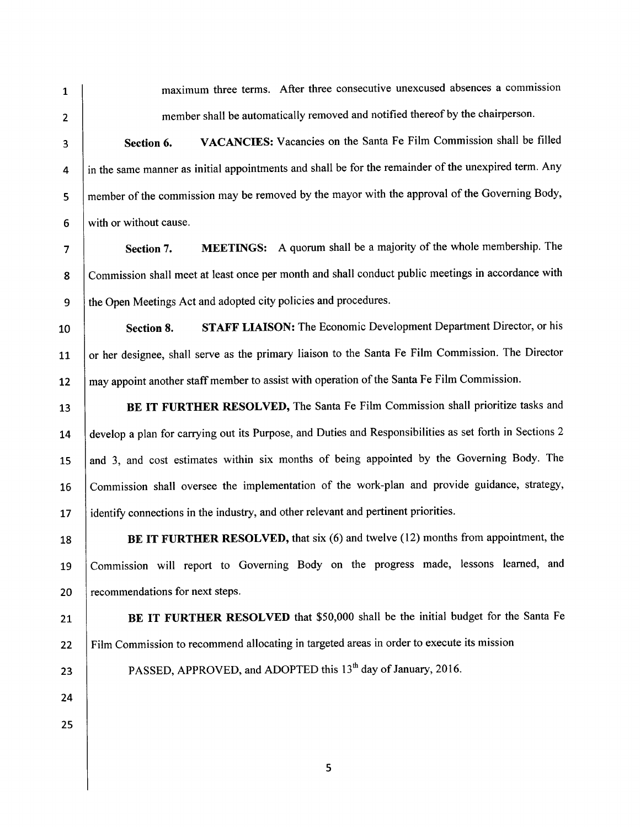$\overline{2}$ 

3

4

5

 $6\phantom{a}$ 

10

 $\mathbf{1}$ 

maximum three terms. After three consecutive unexcused absences a commission member shall be automatically removed and notified thereof by the chairperson.

VACANCIES: Vacancies on the Santa Fe Film Commission shall be filled Section 6. in the same manner as initial appointments and shall be for the remainder of the unexpired term. Any member of the commission may be removed by the mayor with the approval of the Governing Body, with or without cause.

MEETINGS: A quorum shall be a majority of the whole membership. The  $\overline{7}$ Section 7. Commission shall meet at least once per month and shall conduct public meetings in accordance with 8 the Open Meetings Act and adopted city policies and procedures. 9

**STAFF LIAISON:** The Economic Development Department Director, or his Section 8. or her designee, shall serve as the primary liaison to the Santa Fe Film Commission. The Director 11 may appoint another staff member to assist with operation of the Santa Fe Film Commission. 12

BE IT FURTHER RESOLVED, The Santa Fe Film Commission shall prioritize tasks and 13 develop a plan for carrying out its Purpose, and Duties and Responsibilities as set forth in Sections 2 14 and 3, and cost estimates within six months of being appointed by the Governing Body. The 15 Commission shall oversee the implementation of the work-plan and provide guidance, strategy, 16 identify connections in the industry, and other relevant and pertinent priorities. 17

BE IT FURTHER RESOLVED, that six (6) and twelve (12) months from appointment, the 18 Commission will report to Governing Body on the progress made, lessons learned, and 19 20 recommendations for next steps.

BE IT FURTHER RESOLVED that \$50,000 shall be the initial budget for the Santa Fe  $21$ Film Commission to recommend allocating in targeted areas in order to execute its mission  $22$ 

PASSED, APPROVED, and ADOPTED this 13<sup>th</sup> day of January, 2016.

25

23

24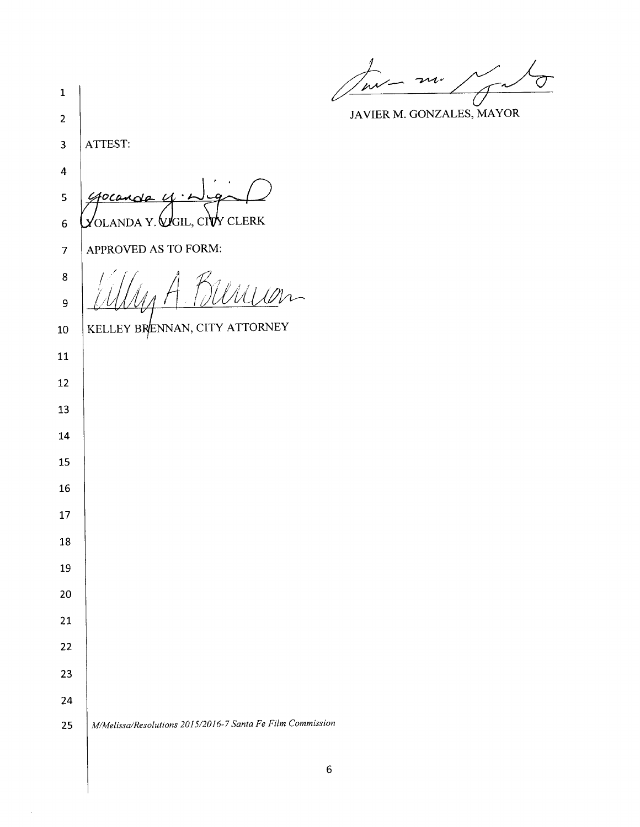June m.  $\overline{\mathcal{O}}$ Å ىە €

JAVIER M. GONZALES, MAYOR

| $\mathbf 1$             | l.                                                         |
|-------------------------|------------------------------------------------------------|
| $\overline{\mathbf{c}}$ |                                                            |
| 3                       | ATTEST:                                                    |
| 4                       |                                                            |
| 5                       | €                                                          |
| 6                       | y clerk<br>'OLANDA Y. WGIL, CI∖                            |
| $\overline{7}$          | APPROVED AS TO FORM:                                       |
| 8                       | $M\bar{M}$                                                 |
| 9                       |                                                            |
| $10\,$                  | KELLEY BRENNAN, CITY ATTORNEY                              |
| 11                      |                                                            |
| 12                      |                                                            |
| 13                      |                                                            |
| 14                      |                                                            |
| 15                      |                                                            |
| 16                      |                                                            |
| 17                      |                                                            |
| 18                      |                                                            |
| 19                      |                                                            |
| 20                      |                                                            |
| 21                      |                                                            |
| 22                      |                                                            |
| 23                      |                                                            |
| 24                      |                                                            |
| 25                      | M/Melissa/Resolutions 2015/2016-7 Santa Fe Film Commission |
|                         |                                                            |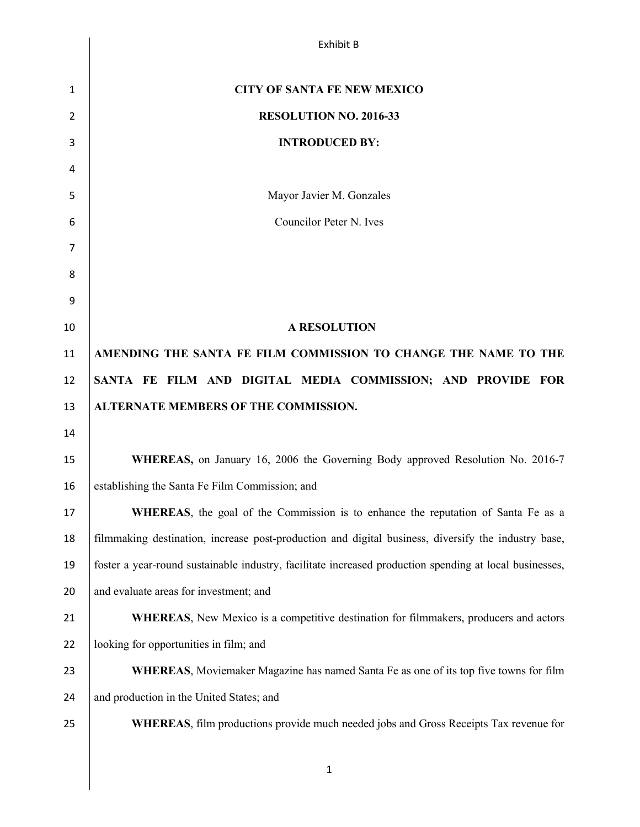|    | <b>Exhibit B</b>                                                                                        |
|----|---------------------------------------------------------------------------------------------------------|
|    |                                                                                                         |
| 1  | <b>CITY OF SANTA FE NEW MEXICO</b>                                                                      |
| 2  | RESOLUTION NO. 2016-33                                                                                  |
| 3  | <b>INTRODUCED BY:</b>                                                                                   |
| 4  |                                                                                                         |
| 5  | Mayor Javier M. Gonzales                                                                                |
| 6  | Councilor Peter N. Ives                                                                                 |
| 7  |                                                                                                         |
| 8  |                                                                                                         |
| 9  |                                                                                                         |
| 10 | <b>A RESOLUTION</b>                                                                                     |
| 11 | AMENDING THE SANTA FE FILM COMMISSION TO CHANGE THE NAME TO THE                                         |
| 12 | SANTA FE FILM AND DIGITAL MEDIA COMMISSION; AND PROVIDE FOR                                             |
| 13 | ALTERNATE MEMBERS OF THE COMMISSION.                                                                    |
| 14 |                                                                                                         |
| 15 | WHEREAS, on January 16, 2006 the Governing Body approved Resolution No. 2016-7                          |
| 16 | establishing the Santa Fe Film Commission; and                                                          |
| 17 | <b>WHEREAS</b> , the goal of the Commission is to enhance the reputation of Santa Fe as a               |
| 18 | filmmaking destination, increase post-production and digital business, diversify the industry base,     |
| 19 | foster a year-round sustainable industry, facilitate increased production spending at local businesses, |
| 20 | and evaluate areas for investment; and                                                                  |
| 21 | <b>WHEREAS</b> , New Mexico is a competitive destination for filmmakers, producers and actors           |
| 22 | looking for opportunities in film; and                                                                  |
| 23 | <b>WHEREAS</b> , Moviemaker Magazine has named Santa Fe as one of its top five towns for film           |
| 24 | and production in the United States; and                                                                |
| 25 | <b>WHEREAS</b> , film productions provide much needed jobs and Gross Receipts Tax revenue for           |
|    |                                                                                                         |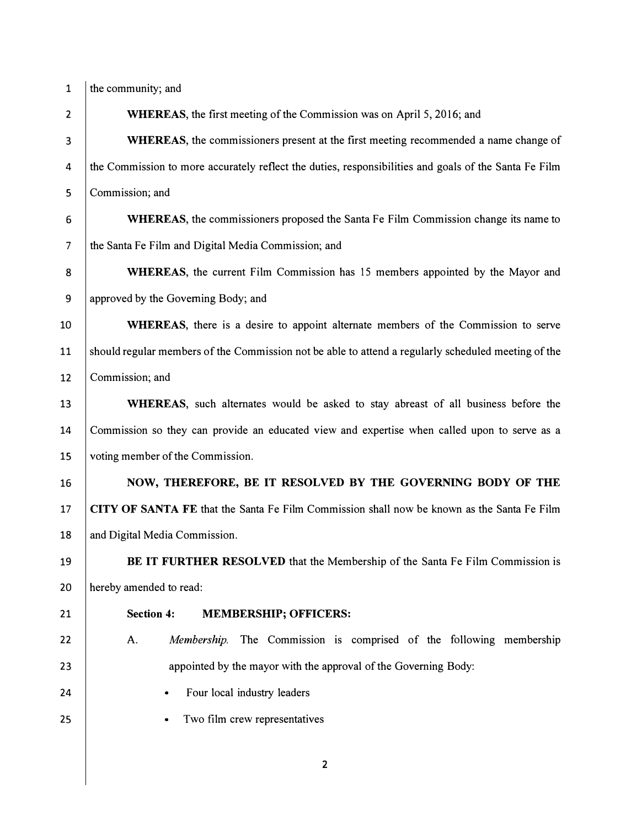- 
- 1  $\vert$  the community; and

2 WHEREAS, the first meeting of the Commission was on April 5, 2016; and

3 WHEREAS, the commissioners present at the first meeting recommended a name change of 4 the Commission to more accurately reflect the duties, responsibilities and goals of the Santa Fe Film 5 Commission; and

6 WHEREAS, the commissioners proposed the Santa Fe Film Commission change its name to 7 the Santa Fe Film and Digital Media Commission; and

8 WHEREAS, the current Film Commission has 15 members appointed by the Mayor and 9 approved by the Governing Body; and

10 WHEREAS, there is a desire to appoint alternate members of the Commission to serve 11 should regular members of the Commission not be able to attend a regularly scheduled meeting of the 12 | Commission: and

13 WHEREAS, such alternates would be asked to stay abreast of all business before the 14 Commission so they can provide an educated view and expertise when called upon to serve as a 15 voting member of the Commission.

24

25

16 NOW, THEREFORE, BE IT RESOLVED BY THE GOVERNING BODY OF THE 17 CITY OF SANTA FE that the Santa Fe Film Commission shall now be known as the Santa Fe Film 18 and Digital Media Commission.

19 BE IT FURTHER RESOLVED that the Membership of the Santa Fe Film Commission is 20 hereby amended to read:

## 21

## Section 4: MEMBERSHIP; OFFICERS:

- 22 23 A. *Membership.* The Commission is comprised of the following membership appointed by the mayor with the approval of the Governing Body:
	- Four local industry leaders
	- Two film crew representatives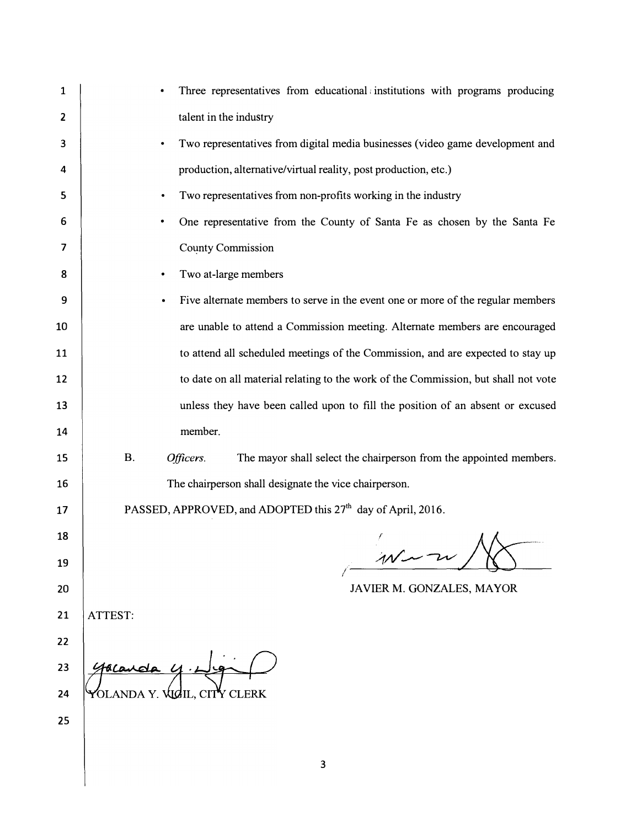| 1  | Three representatives from educational institutions with programs producing                  |
|----|----------------------------------------------------------------------------------------------|
| 2  | talent in the industry                                                                       |
| 3  | Two representatives from digital media businesses (video game development and<br>٠           |
| 4  | production, alternative/virtual reality, post production, etc.)                              |
| 5  | Two representatives from non-profits working in the industry<br>٠                            |
| 6  | One representative from the County of Santa Fe as chosen by the Santa Fe                     |
| 7  | <b>County Commission</b>                                                                     |
| 8  | Two at-large members<br>$\bullet$                                                            |
| 9  | Five alternate members to serve in the event one or more of the regular members<br>$\bullet$ |
| 10 | are unable to attend a Commission meeting. Alternate members are encouraged                  |
| 11 | to attend all scheduled meetings of the Commission, and are expected to stay up              |
| 12 | to date on all material relating to the work of the Commission, but shall not vote           |
| 13 | unless they have been called upon to fill the position of an absent or excused               |
| 14 | member.                                                                                      |
| 15 | <b>B.</b><br>The mayor shall select the chairperson from the appointed members.<br>Officers. |
| 16 | The chairperson shall designate the vice chairperson.                                        |
| 17 | PASSED, APPROVED, and ADOPTED this 27 <sup>th</sup> day of April, 2016.                      |
| 18 | A A                                                                                          |
| 19 | $MN -$                                                                                       |
| 20 | JAVIER M. GONZALES, MAYOR                                                                    |
| 21 | ATTEST:                                                                                      |
| 22 |                                                                                              |
| 23 |                                                                                              |
| 24 | YOLANDA Y. VIGIL, CIT <sup>r</sup> Y CLERK                                                   |
| 25 |                                                                                              |
|    |                                                                                              |
|    |                                                                                              |

3